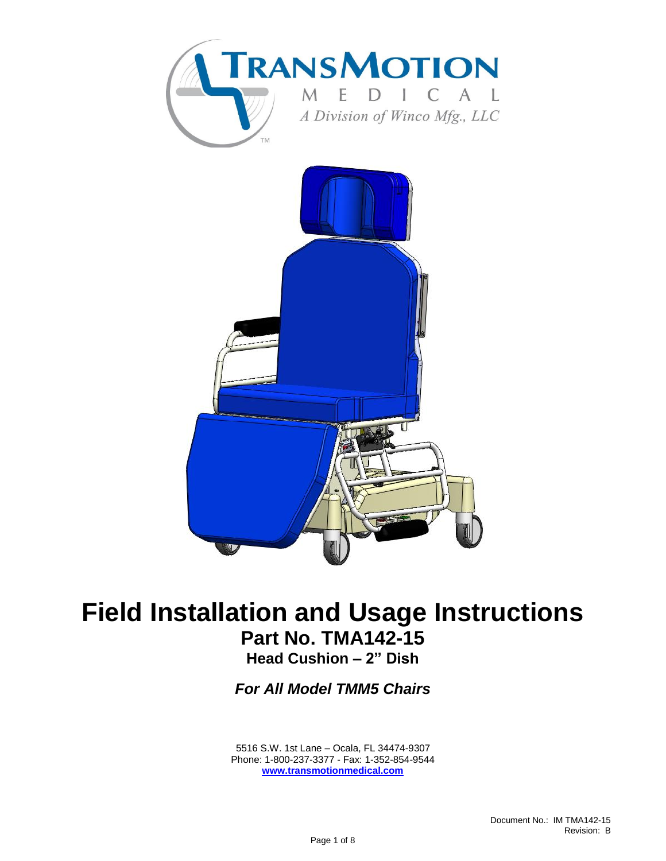

# **Field Installation and Usage Instructions Part No. TMA142-15**

**Head Cushion – 2" Dish**

*For All Model TMM5 Chairs*

<span id="page-0-0"></span> 5516 S.W. 1st Lane – Ocala, FL 34474-9307 Phone: 1-800-237-3377 - Fax: 1-352-854-9544 **[www.transmotionmedical.com](http://www.transmotionmedical.com/)**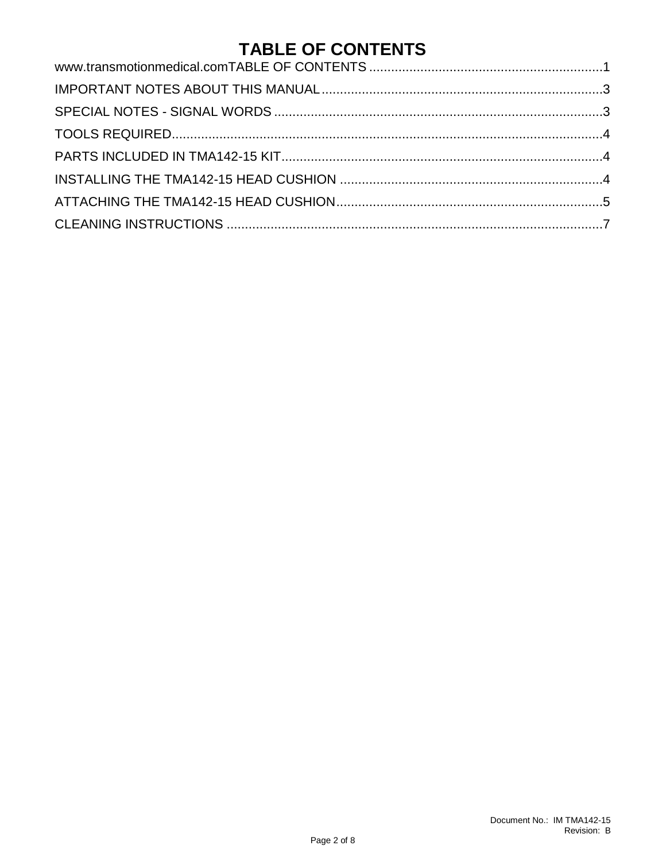### **TABLE OF CONTENTS**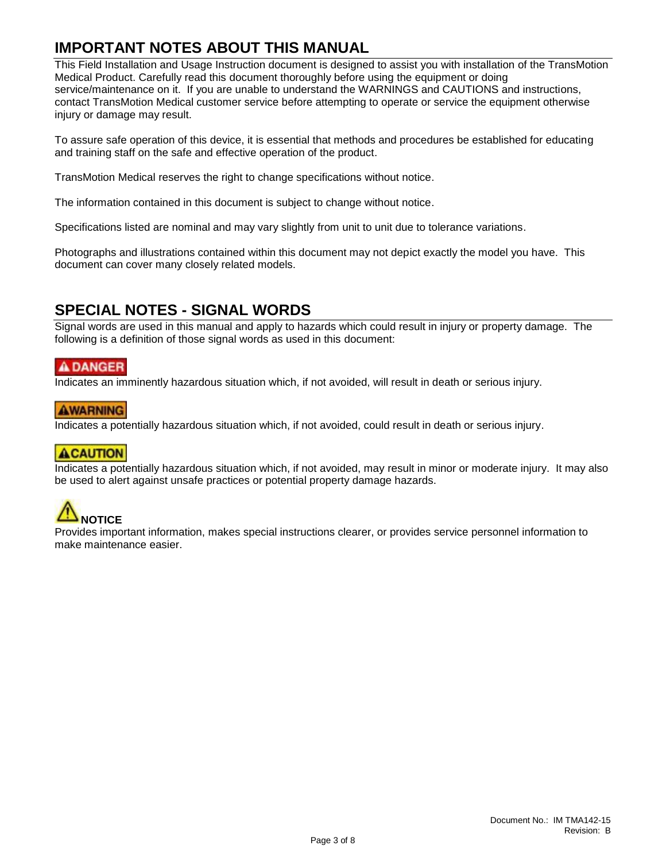#### <span id="page-2-0"></span>**IMPORTANT NOTES ABOUT THIS MANUAL**

This Field Installation and Usage Instruction document is designed to assist you with installation of the TransMotion Medical Product. Carefully read this document thoroughly before using the equipment or doing service/maintenance on it. If you are unable to understand the WARNINGS and CAUTIONS and instructions, contact TransMotion Medical customer service before attempting to operate or service the equipment otherwise injury or damage may result.

To assure safe operation of this device, it is essential that methods and procedures be established for educating and training staff on the safe and effective operation of the product.

TransMotion Medical reserves the right to change specifications without notice.

The information contained in this document is subject to change without notice.

Specifications listed are nominal and may vary slightly from unit to unit due to tolerance variations.

Photographs and illustrations contained within this document may not depict exactly the model you have. This document can cover many closely related models.

#### <span id="page-2-1"></span>**SPECIAL NOTES - SIGNAL WORDS**

Signal words are used in this manual and apply to hazards which could result in injury or property damage. The following is a definition of those signal words as used in this document:

#### A DANGER

Indicates an imminently hazardous situation which, if not avoided, will result in death or serious injury.

#### **AWARNING**

Indicates a potentially hazardous situation which, if not avoided, could result in death or serious injury.

#### **ACAUTION**

Indicates a potentially hazardous situation which, if not avoided, may result in minor or moderate injury. It may also be used to alert against unsafe practices or potential property damage hazards.



Provides important information, makes special instructions clearer, or provides service personnel information to make maintenance easier.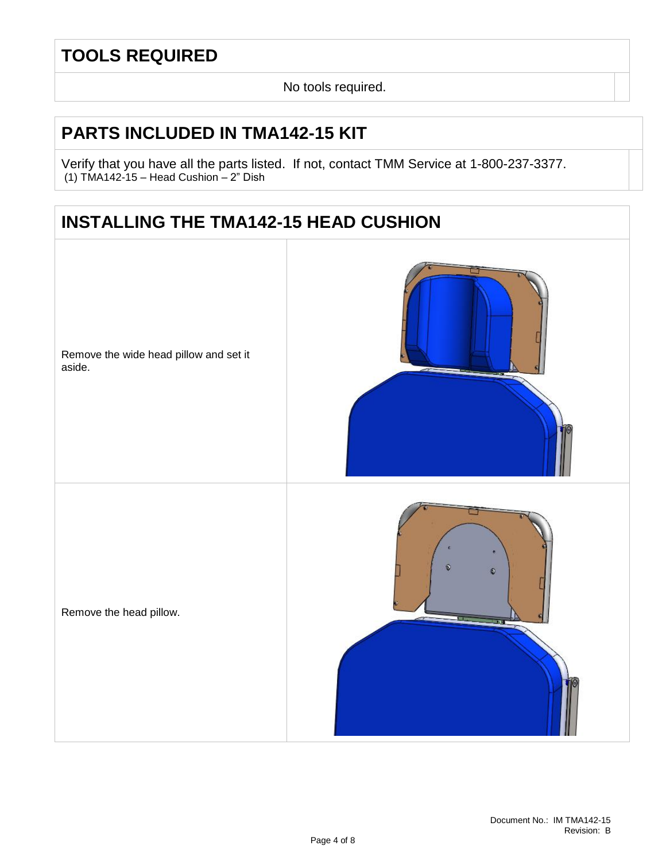### <span id="page-3-0"></span>**TOOLS REQUIRED**

No tools required.

#### <span id="page-3-1"></span>**PARTS INCLUDED IN TMA142-15 KIT**

Verify that you have all the parts listed. If not, contact TMM Service at 1-800-237-3377. (1) TMA142-15 – Head Cushion – 2" Dish

### <span id="page-3-2"></span>**INSTALLING THE TMA142-15 HEAD CUSHION**

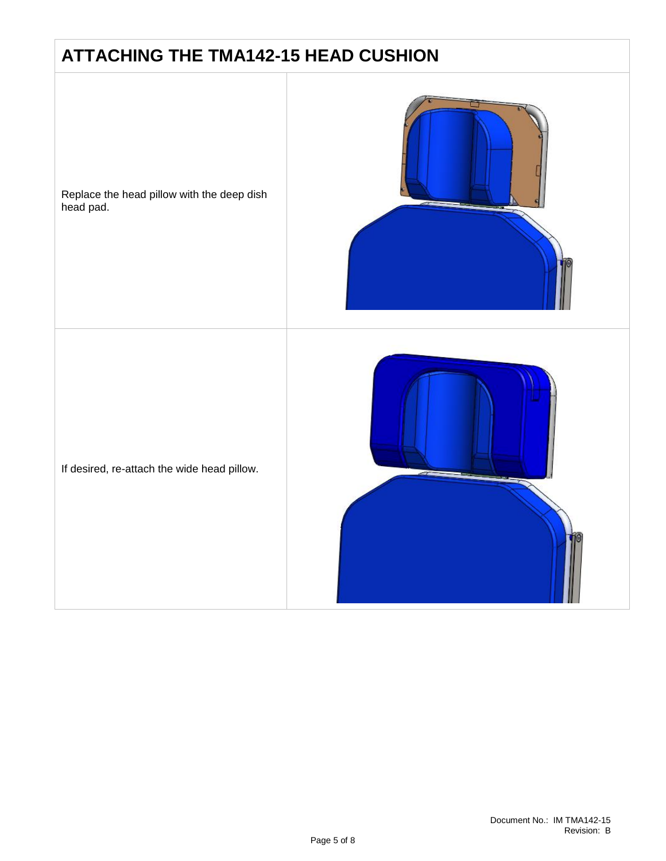### <span id="page-4-0"></span>**ATTACHING THE TMA142-15 HEAD CUSHION**

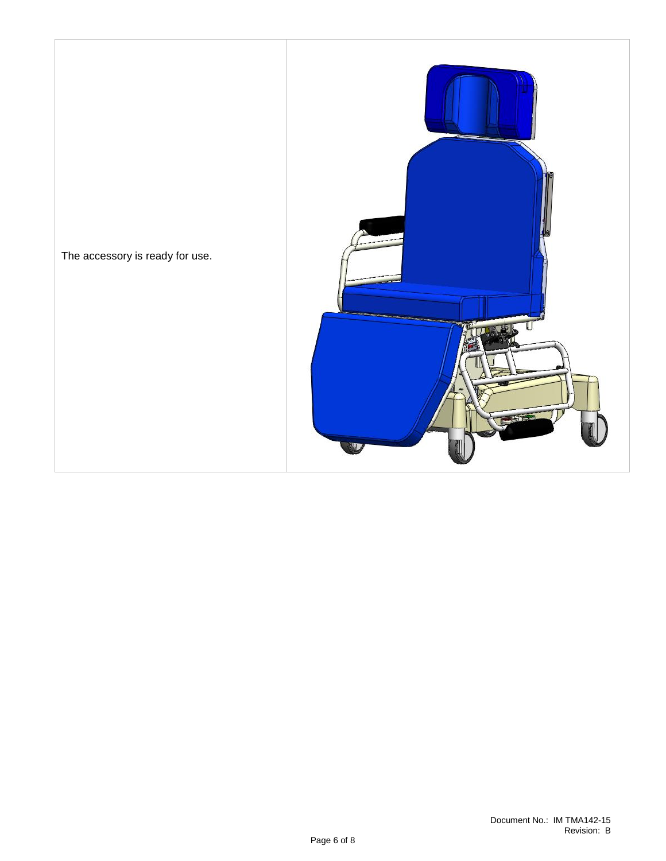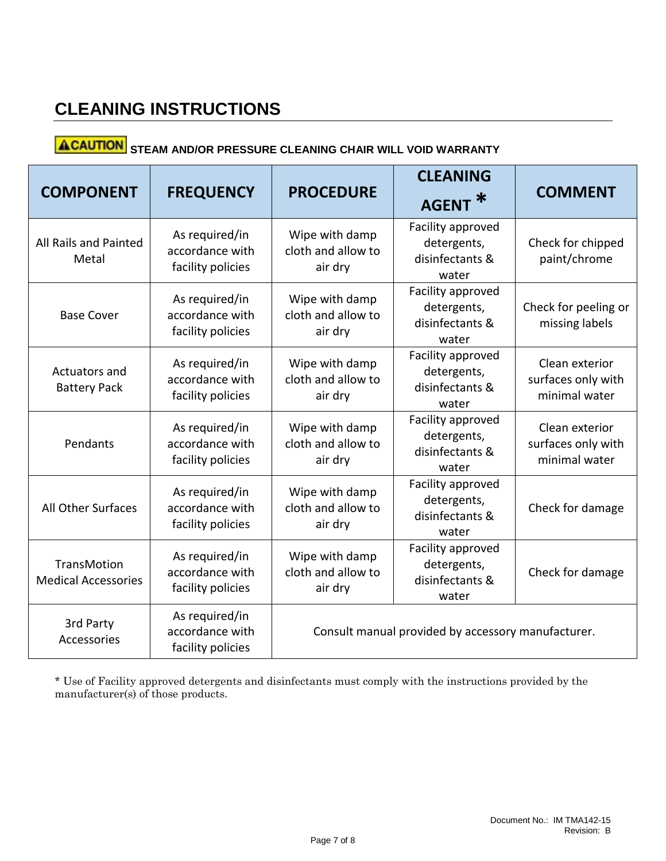### <span id="page-6-0"></span>**CLEANING INSTRUCTIONS**

## **ACAUTION** STEAM AND/OR PRESSURE CLEANING CHAIR WILL VOID WARRANTY

| <b>COMPONENT</b>                                 | <b>FREQUENCY</b>                                       | <b>PROCEDURE</b>                                   | <b>CLEANING</b>                                              | <b>COMMENT</b>                                        |  |
|--------------------------------------------------|--------------------------------------------------------|----------------------------------------------------|--------------------------------------------------------------|-------------------------------------------------------|--|
|                                                  |                                                        |                                                    | <b>AGENT</b>                                                 |                                                       |  |
| All Rails and Painted<br>Metal                   | As required/in<br>accordance with<br>facility policies | Wipe with damp<br>cloth and allow to<br>air dry    | Facility approved<br>detergents,<br>disinfectants &<br>water | Check for chipped<br>paint/chrome                     |  |
| <b>Base Cover</b>                                | As required/in<br>accordance with<br>facility policies | Wipe with damp<br>cloth and allow to<br>air dry    | Facility approved<br>detergents,<br>disinfectants &<br>water | Check for peeling or<br>missing labels                |  |
| Actuators and<br><b>Battery Pack</b>             | As required/in<br>accordance with<br>facility policies | Wipe with damp<br>cloth and allow to<br>air dry    | Facility approved<br>detergents,<br>disinfectants &<br>water | Clean exterior<br>surfaces only with<br>minimal water |  |
| Pendants                                         | As required/in<br>accordance with<br>facility policies | Wipe with damp<br>cloth and allow to<br>air dry    | Facility approved<br>detergents,<br>disinfectants &<br>water | Clean exterior<br>surfaces only with<br>minimal water |  |
| <b>All Other Surfaces</b>                        | As required/in<br>accordance with<br>facility policies | Wipe with damp<br>cloth and allow to<br>air dry    | Facility approved<br>detergents,<br>disinfectants &<br>water | Check for damage                                      |  |
| <b>TransMotion</b><br><b>Medical Accessories</b> | As required/in<br>accordance with<br>facility policies | Wipe with damp<br>cloth and allow to<br>air dry    | Facility approved<br>detergents,<br>disinfectants &<br>water | Check for damage                                      |  |
| 3rd Party<br>Accessories                         | As required/in<br>accordance with<br>facility policies | Consult manual provided by accessory manufacturer. |                                                              |                                                       |  |

\* Use of Facility approved detergents and disinfectants must comply with the instructions provided by the manufacturer(s) of those products.